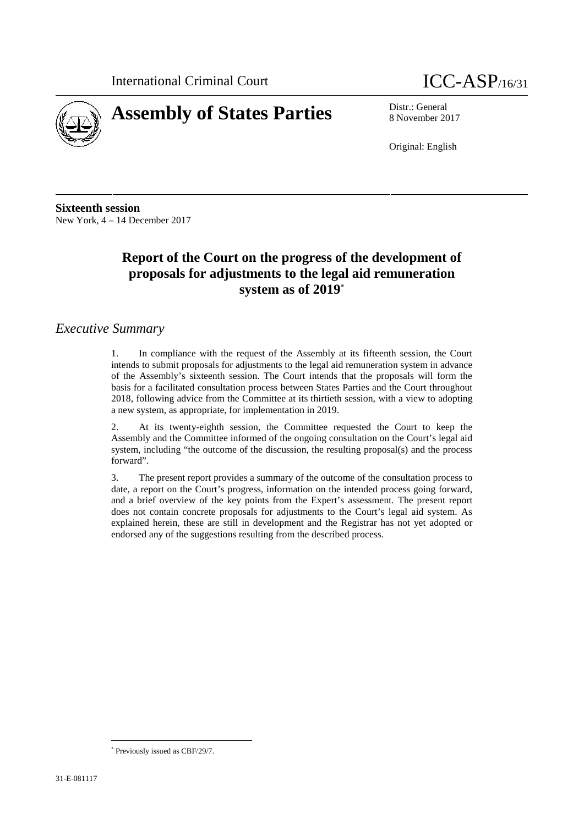



8 November 2017

Original: English

**Sixteenth session** New York, 4 – 14 December 2017

# **Report of the Court on the progress of the development of proposals for adjustments to the legal aid remuneration system as of 2019**

### *Executive Summary*

1. In compliance with the request of the Assembly at its fifteenth session, the Court intends to submit proposals for adjustments to the legal aid remuneration system in advance of the Assembly's sixteenth session. The Court intends that the proposals will form the basis for a facilitated consultation process between States Parties and the Court throughout 2018, following advice from the Committee at its thirtieth session, with a view to adopting a new system, as appropriate, for implementation in 2019.

2. At its twenty-eighth session, the Committee requested the Court to keep the Assembly and the Committee informed of the ongoing consultation on the Court's legal aid system, including "the outcome of the discussion, the resulting proposal(s) and the process forward".

3. The present report provides a summary of the outcome of the consultation process to date, a report on the Court's progress, information on the intended process going forward, and a brief overview of the key points from the Expert's assessment. The present report does not contain concrete proposals for adjustments to the Court's legal aid system. As explained herein, these are still in development and the Registrar has not yet adopted or endorsed any of the suggestions resulting from the described process.

Previously issued as CBF/29/7.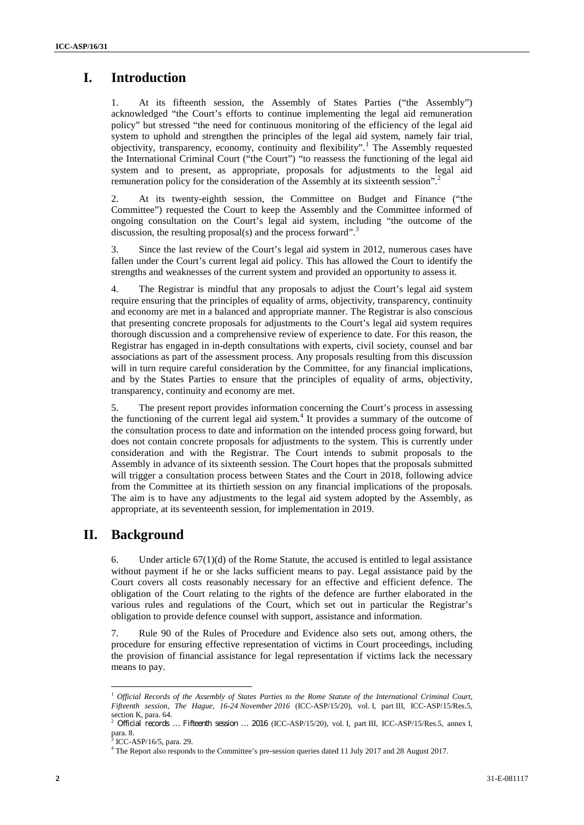# **I. Introduction**

1. At its fifteenth session, the Assembly of States Parties ("the Assembly") acknowledged "the Court's efforts to continue implementing the legal aid remuneration policy" but stressed "the need for continuous monitoring of the efficiency of the legal aid system to uphold and strengthen the principles of the legal aid system, namely fair trial,  $\overrightarrow{objectivity}$ , transparency, economy, continuity and flexibility".<sup>1</sup> The Assembly requested the International Criminal Court ("the Court") "to reassess the functioning of the legal aid system and to present, as appropriate, proposals for adjustments to the legal aid remuneration policy for the consideration of the Assembly at its sixteenth session".<sup>2</sup>

2. At its twenty-eighth session, the Committee on Budget and Finance ("the Committee") requested the Court to keep the Assembly and the Committee informed of ongoing consultation on the Court's legal aid system, including "the outcome of the discussion, the resulting proposal(s) and the process forward".<sup>3</sup>

3. Since the last review of the Court's legal aid system in 2012, numerous cases have fallen under the Court's current legal aid policy. This has allowed the Court to identify the

strengths and weaknesses of the current system and provided an opportunity to assess it.4. The Registrar is mindful that any proposals to adjust the Court's legal aid system require ensuring that the principles of equality of arms, objectivity, transparency, continuity and economy are met in a balanced and appropriate manner. The Registrar is also conscious that presenting concrete proposals for adjustments to the Court's legal aid system requires thorough discussion and a comprehensive review of experience to date. For this reason, the Registrar has engaged in in-depth consultations with experts, civil society, counsel and bar associations as part of the assessment process. Any proposals resulting from this discussion will in turn require careful consideration by the Committee, for any financial implications, and by the States Parties to ensure that the principles of equality of arms, objectivity, transparency, continuity and economy are met.

5. The present report provides information concerning the Court's process in assessing the functioning of the current legal aid system.<sup>4</sup> It provides a summary of the outcome of the consultation process to date and information on the intended process going forward, but does not contain concrete proposals for adjustments to the system. This is currently under consideration and with the Registrar. The Court intends to submit proposals to the Assembly in advance of its sixteenth session. The Court hopes that the proposals submitted will trigger a consultation process between States and the Court in 2018, following advice from the Committee at its thirtieth session on any financial implications of the proposals. The aim is to have any adjustments to the legal aid system adopted by the Assembly, as appropriate, at its seventeenth session, for implementation in 2019.

## **II. Background**

6. Under article  $67(1)(d)$  of the Rome Statute, the accused is entitled to legal assistance without payment if he or she lacks sufficient means to pay. Legal assistance paid by the Court covers all costs reasonably necessary for an effective and efficient defence. The obligation of the Court relating to the rights of the defence are further elaborated in the various rules and regulations of the Court, which set out in particular the Registrar's obligation to provide defence counsel with support, assistance and information.

7. Rule 90 of the Rules of Procedure and Evidence also sets out, among others, the procedure for ensuring effective representation of victims in Court proceedings, including the provision of financial assistance for legal representation if victims lack the necessary means to pay.

<sup>1</sup> *Official Records of the Assembly of States Parties to the Rome Statute of the International Criminal Court, Fifteenth session, The Hague, 16-24 November 2016* (ICC-ASP/15/20), vol. I, part III, ICC-ASP/15/Res.5, section K, para. 64.<br><sup>2</sup> *Official records … Fifteenth session … 2016* (ICC-ASP/15/20), vol. I, part III, ICC-ASP/15/Res.5, annex I,

para. 8.

 $3$  ICC-ASP/16/5, para. 29.<br> $4$  The Report also responds to the Committee's pre-session queries dated 11 July 2017 and 28 August 2017.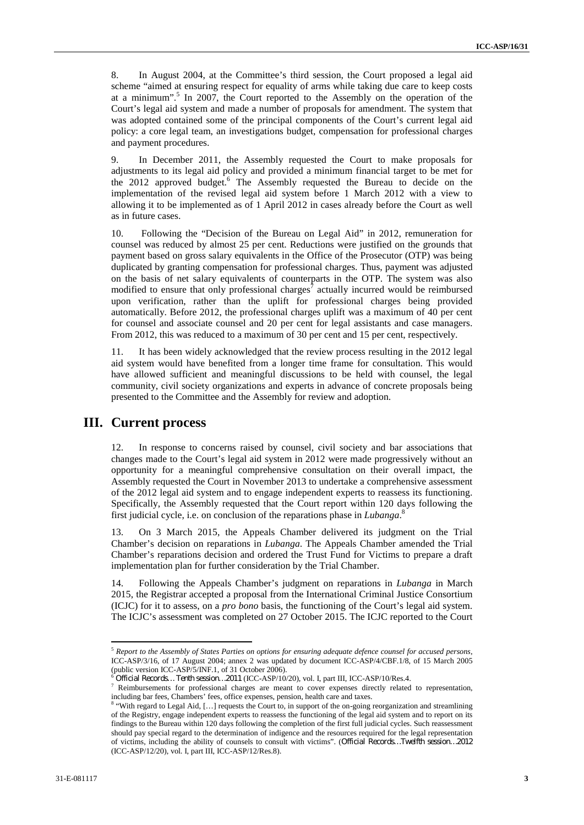8. In August 2004, at the Committee's third session, the Court proposed a legal aid scheme "aimed at ensuring respect for equality of arms while taking due care to keep costs at a minimum".<sup>5</sup> In 2007, the Court reported to the Assembly on the operation of the Court's legal aid system and made a number of proposals for amendment. The system that was adopted contained some of the principal components of the Court's current legal aid policy: a core legal team, an investigations budget, compensation for professional charges and payment procedures.

9. In December 2011, the Assembly requested the Court to make proposals for adjustments to its legal aid policy and provided a minimum financial target to be met for the 2012 approved budget.<sup>6</sup> The Assembly requested the Bureau to decide on the implementation of the revised legal aid system before 1 March 2012 with a view to allowing it to be implemented as of 1 April 2012 in cases already before the Court as well as in future cases.

10. Following the "Decision of the Bureau on Legal Aid" in 2012, remuneration for counsel was reduced by almost 25 per cent. Reductions were justified on the grounds that payment based on gross salary equivalents in the Office of the Prosecutor (OTP) was being duplicated by granting compensation for professional charges. Thus, payment was adjusted on the basis of net salary equivalents of counterparts in the OTP. The system was also modified to ensure that only professional charges<sup>7</sup> actually incurred would be reimbursed upon verification, rather than the uplift for professional charges being provided automatically. Before 2012, the professional charges uplift was a maximum of 40 per cent for counsel and associate counsel and 20 per cent for legal assistants and case managers. From 2012, this was reduced to a maximum of 30 per cent and 15 per cent, respectively.

11. It has been widely acknowledged that the review process resulting in the 2012 legal aid system would have benefited from a longer time frame for consultation. This would have allowed sufficient and meaningful discussions to be held with counsel, the legal community, civil society organizations and experts in advance of concrete proposals being presented to the Committee and the Assembly for review and adoption.

### **III. Current process**

12. In response to concerns raised by counsel, civil society and bar associations that changes made to the Court's legal aid system in 2012 were made progressively without an opportunity for a meaningful comprehensive consultation on their overall impact, the Assembly requested the Court in November 2013 to undertake a comprehensive assessment of the 2012 legal aid system and to engage independent experts to reassess its functioning. Specifically, the Assembly requested that the Court report within 120 days following the first judicial cycle, i.e. on conclusion of the reparations phase in *Lubanga*.<sup>8</sup>

13. On 3 March 2015, the Appeals Chamber delivered its judgment on the Trial Chamber's decision on reparations in *Lubanga*. The Appeals Chamber amended the Trial Chamber's reparations decision and ordered the Trust Fund for Victims to prepare a draft implementation plan for further consideration by the Trial Chamber.

14. Following the Appeals Chamber's judgment on reparations in *Lubanga* in March 2015, the Registrar accepted a proposal from the International Criminal Justice Consortium (ICJC) for it to assess, on a *pro bono* basis, the functioning of the Court's legal aid system. The ICJC's assessment was completed on 27 October 2015. The ICJC reported to the Court

<sup>5</sup> *Report to the Assembly of States Parties on options for ensuring adequate defence counsel for accused persons*, ICC-ASP/3/16, of 17 August 2004; annex 2 was updated by document ICC-ASP/4/CBF.1/8, of 15 March 2005 (public version ICC-ASP/5/INF.1, of 31 October 2006).<br><sup>6</sup> Official Records... Tenth session...2011 (ICC-ASP/10/20), vol. I, part III, ICC-ASP/10/Res.4.

Reimbursements for professional charges are meant to cover expenses directly related to representation,

including bar fees, Chambers' fees, office expenses, pension, health care and taxes.<br><sup>8</sup> "With regard to Legal Aid, [...] requests the Court to, in support of the on-going reorganization and streamlining of the Registry, engage independent experts to reassess the functioning of the legal aid system and to report on its findings to the Bureau within 120 days following the completion of the first full judicial cycles. Such reassessment should pay special regard to the determination of indigence and the resources required for the legal representation of victims, including the ability of counsels to consult with victims". (*Official Records…Twelfth session…2012* (ICC-ASP/12/20), vol. I, part III, ICC-ASP/12/Res.8).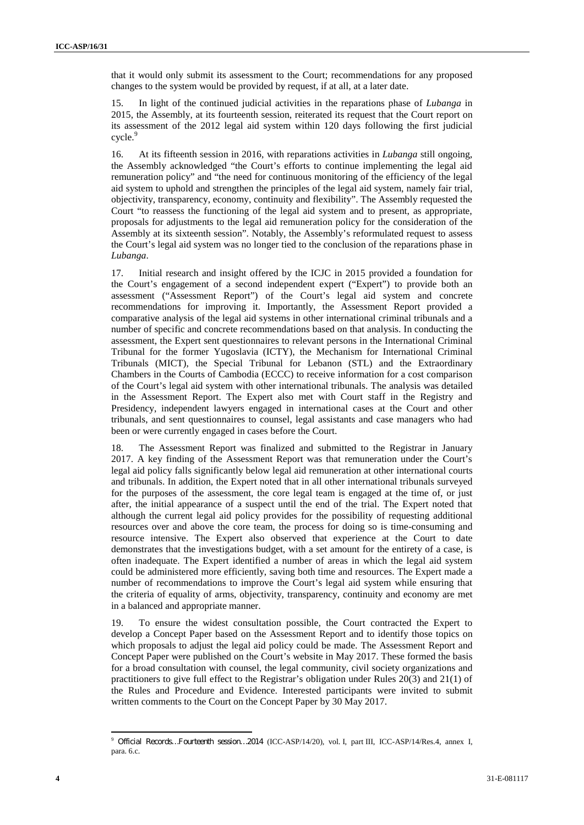that it would only submit its assessment to the Court; recommendations for any proposed changes to the system would be provided by request, if at all, at a later date.

15. In light of the continued judicial activities in the reparations phase of *Lubanga* in 2015, the Assembly, at its fourteenth session, reiterated its request that the Court report on its assessment of the 2012 legal aid system within 120 days following the first judicial cycle.<sup>9</sup>

16. At its fifteenth session in 2016, with reparations activities in *Lubanga* still ongoing, the Assembly acknowledged "the Court's efforts to continue implementing the legal aid remuneration policy" and "the need for continuous monitoring of the efficiency of the legal aid system to uphold and strengthen the principles of the legal aid system, namely fair trial, objectivity, transparency, economy, continuity and flexibility". The Assembly requested the Court "to reassess the functioning of the legal aid system and to present, as appropriate, proposals for adjustments to the legal aid remuneration policy for the consideration of the Assembly at its sixteenth session". Notably, the Assembly's reformulated request to assess the Court's legal aid system was no longer tied to the conclusion of the reparations phase in *Lubanga*.

17. Initial research and insight offered by the ICJC in 2015 provided a foundation for the Court's engagement of a second independent expert ("Expert") to provide both an assessment ("Assessment Report") of the Court's legal aid system and concrete recommendations for improving it. Importantly, the Assessment Report provided a comparative analysis of the legal aid systems in other international criminal tribunals and a number of specific and concrete recommendations based on that analysis. In conducting the assessment, the Expert sent questionnaires to relevant persons in the International Criminal Tribunal for the former Yugoslavia (ICTY), the Mechanism for International Criminal Tribunals (MICT), the Special Tribunal for Lebanon (STL) and the Extraordinary Chambers in the Courts of Cambodia (ECCC) to receive information for a cost comparison of the Court's legal aid system with other international tribunals. The analysis was detailed in the Assessment Report. The Expert also met with Court staff in the Registry and Presidency, independent lawyers engaged in international cases at the Court and other tribunals, and sent questionnaires to counsel, legal assistants and case managers who had been or were currently engaged in cases before the Court.

18. The Assessment Report was finalized and submitted to the Registrar in January 2017. A key finding of the Assessment Report was that remuneration under the Court's legal aid policy falls significantly below legal aid remuneration at other international courts and tribunals. In addition, the Expert noted that in all other international tribunals surveyed for the purposes of the assessment, the core legal team is engaged at the time of, or just after, the initial appearance of a suspect until the end of the trial. The Expert noted that although the current legal aid policy provides for the possibility of requesting additional resources over and above the core team, the process for doing so is time-consuming and resource intensive. The Expert also observed that experience at the Court to date demonstrates that the investigations budget, with a set amount for the entirety of a case, is often inadequate. The Expert identified a number of areas in which the legal aid system could be administered more efficiently, saving both time and resources. The Expert made a number of recommendations to improve the Court's legal aid system while ensuring that the criteria of equality of arms, objectivity, transparency, continuity and economy are met in a balanced and appropriate manner.

19. To ensure the widest consultation possible, the Court contracted the Expert to develop a Concept Paper based on the Assessment Report and to identify those topics on which proposals to adjust the legal aid policy could be made. The Assessment Report and Concept Paper were published on the Court's website in May 2017. These formed the basis for a broad consultation with counsel, the legal community, civil society organizations and practitioners to give full effect to the Registrar's obligation under Rules 20(3) and 21(1) of the Rules and Procedure and Evidence. Interested participants were invited to submit written comments to the Court on the Concept Paper by 30 May 2017.

<sup>9</sup> *Official Records…Fourteenth session…2014* (ICC-ASP/14/20), vol. I, part III, ICC-ASP/14/Res.4, annex I, para. 6.c.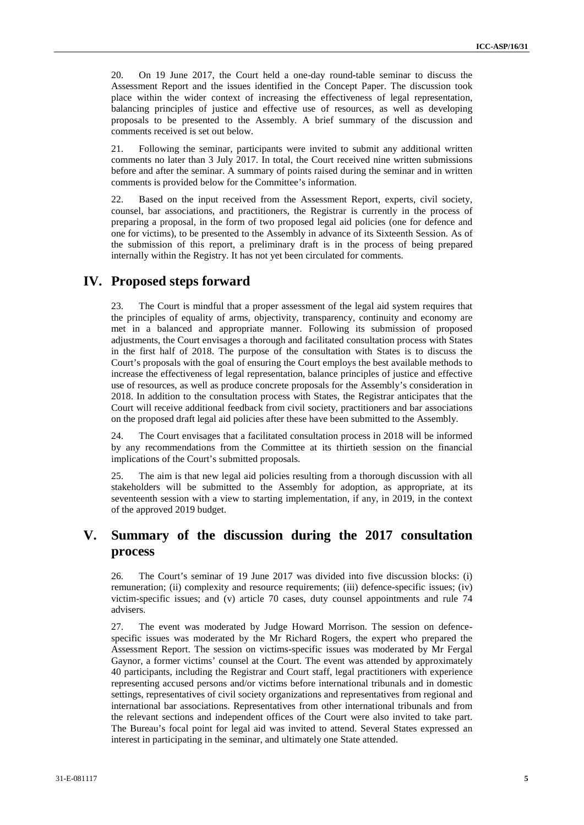20. On 19 June 2017, the Court held a one-day round-table seminar to discuss the Assessment Report and the issues identified in the Concept Paper. The discussion took place within the wider context of increasing the effectiveness of legal representation, balancing principles of justice and effective use of resources, as well as developing proposals to be presented to the Assembly. A brief summary of the discussion and comments received is set out below.

21. Following the seminar, participants were invited to submit any additional written comments no later than 3 July 2017. In total, the Court received nine written submissions before and after the seminar. A summary of points raised during the seminar and in written comments is provided below for the Committee's information.

22. Based on the input received from the Assessment Report, experts, civil society, counsel, bar associations, and practitioners, the Registrar is currently in the process of preparing a proposal, in the form of two proposed legal aid policies (one for defence and one for victims), to be presented to the Assembly in advance of its Sixteenth Session. As of the submission of this report, a preliminary draft is in the process of being prepared internally within the Registry. It has not yet been circulated for comments.

### **IV. Proposed steps forward**

23. The Court is mindful that a proper assessment of the legal aid system requires that the principles of equality of arms, objectivity, transparency, continuity and economy are met in a balanced and appropriate manner. Following its submission of proposed adjustments, the Court envisages a thorough and facilitated consultation process with States in the first half of 2018. The purpose of the consultation with States is to discuss the Court's proposals with the goal of ensuring the Court employs the best available methods to increase the effectiveness of legal representation, balance principles of justice and effective use of resources, as well as produce concrete proposals for the Assembly's consideration in 2018. In addition to the consultation process with States, the Registrar anticipates that the Court will receive additional feedback from civil society, practitioners and bar associations on the proposed draft legal aid policies after these have been submitted to the Assembly.

24. The Court envisages that a facilitated consultation process in 2018 will be informed by any recommendations from the Committee at its thirtieth session on the financial implications of the Court's submitted proposals.

25. The aim is that new legal aid policies resulting from a thorough discussion with all stakeholders will be submitted to the Assembly for adoption, as appropriate, at its seventeenth session with a view to starting implementation, if any, in 2019, in the context of the approved 2019 budget.

## **V. Summary of the discussion during the 2017 consultation process**

26. The Court's seminar of 19 June 2017 was divided into five discussion blocks: (i) remuneration; (ii) complexity and resource requirements; (iii) defence-specific issues; (iv) victim-specific issues; and (v) article 70 cases, duty counsel appointments and rule 74 advisers.

27. The event was moderated by Judge Howard Morrison. The session on defence specific issues was moderated by the Mr Richard Rogers, the expert who prepared the Assessment Report. The session on victims-specific issues was moderated by Mr Fergal Gaynor, a former victims' counsel at the Court. The event was attended by approximately 40 participants, including the Registrar and Court staff, legal practitioners with experience representing accused persons and/or victims before international tribunals and in domestic settings, representatives of civil society organizations and representatives from regional and international bar associations. Representatives from other international tribunals and from the relevant sections and independent offices of the Court were also invited to take part. The Bureau's focal point for legal aid was invited to attend. Several States expressed an interest in participating in the seminar, and ultimately one State attended.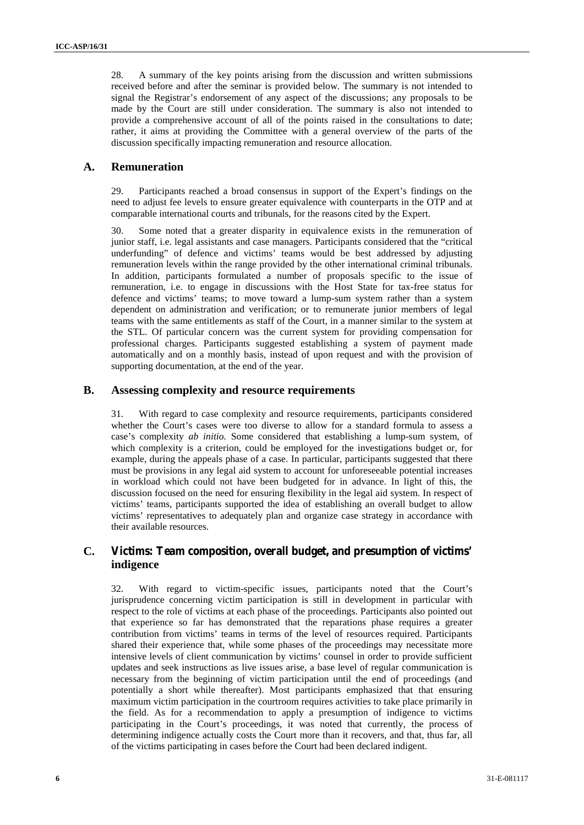28. A summary of the key points arising from the discussion and written submissions received before and after the seminar is provided below. The summary is not intended to signal the Registrar's endorsement of any aspect of the discussions; any proposals to be made by the Court are still under consideration. The summary is also not intended to provide a comprehensive account of all of the points raised in the consultations to date; rather, it aims at providing the Committee with a general overview of the parts of the discussion specifically impacting remuneration and resource allocation.

#### **A. Remuneration**

29. Participants reached a broad consensus in support of the Expert's findings on the need to adjust fee levels to ensure greater equivalence with counterparts in the OTP and at comparable international courts and tribunals, for the reasons cited by the Expert.

30. Some noted that a greater disparity in equivalence exists in the remuneration of junior staff, i.e. legal assistants and case managers. Participants considered that the "critical underfunding" of defence and victims' teams would be best addressed by adjusting remuneration levels within the range provided by the other international criminal tribunals. In addition, participants formulated a number of proposals specific to the issue of remuneration, i.e. to engage in discussions with the Host State for tax-free status for defence and victims' teams; to move toward a lump-sum system rather than a system dependent on administration and verification; or to remunerate junior members of legal teams with the same entitlements as staff of the Court, in a manner similar to the system at the STL. Of particular concern was the current system for providing compensation for professional charges. Participants suggested establishing a system of payment made automatically and on a monthly basis, instead of upon request and with the provision of supporting documentation, at the end of the year.

#### **B. Assessing complexity and resource requirements**

31. With regard to case complexity and resource requirements, participants considered whether the Court's cases were too diverse to allow for a standard formula to assess a case's complexity *ab initio.* Some considered that establishing a lump-sum system, of which complexity is a criterion, could be employed for the investigations budget or, for example, during the appeals phase of a case. In particular, participants suggested that there must be provisions in any legal aid system to account for unforeseeable potential increases in workload which could not have been budgeted for in advance. In light of this, the discussion focused on the need for ensuring flexibility in the legal aid system. In respect of victims' teams, participants supported the idea of establishing an overall budget to allow victims' representatives to adequately plan and organize case strategy in accordance with their available resources.

### **C. Victims: Team composition, overall budget, and presumption of victims' indigence**

32. With regard to victim-specific issues, participants noted that the Court's jurisprudence concerning victim participation is still in development in particular with respect to the role of victims at each phase of the proceedings. Participants also pointed out that experience so far has demonstrated that the reparations phase requires a greater contribution from victims' teams in terms of the level of resources required. Participants shared their experience that, while some phases of the proceedings may necessitate more intensive levels of client communication by victims' counsel in order to provide sufficient updates and seek instructions as live issues arise, a base level of regular communication is necessary from the beginning of victim participation until the end of proceedings (and potentially a short while thereafter). Most participants emphasized that that ensuring maximum victim participation in the courtroom requires activities to take place primarily in the field. As for a recommendation to apply a presumption of indigence to victims participating in the Court's proceedings, it was noted that currently, the process of determining indigence actually costs the Court more than it recovers, and that, thus far, all of the victims participating in cases before the Court had been declared indigent.